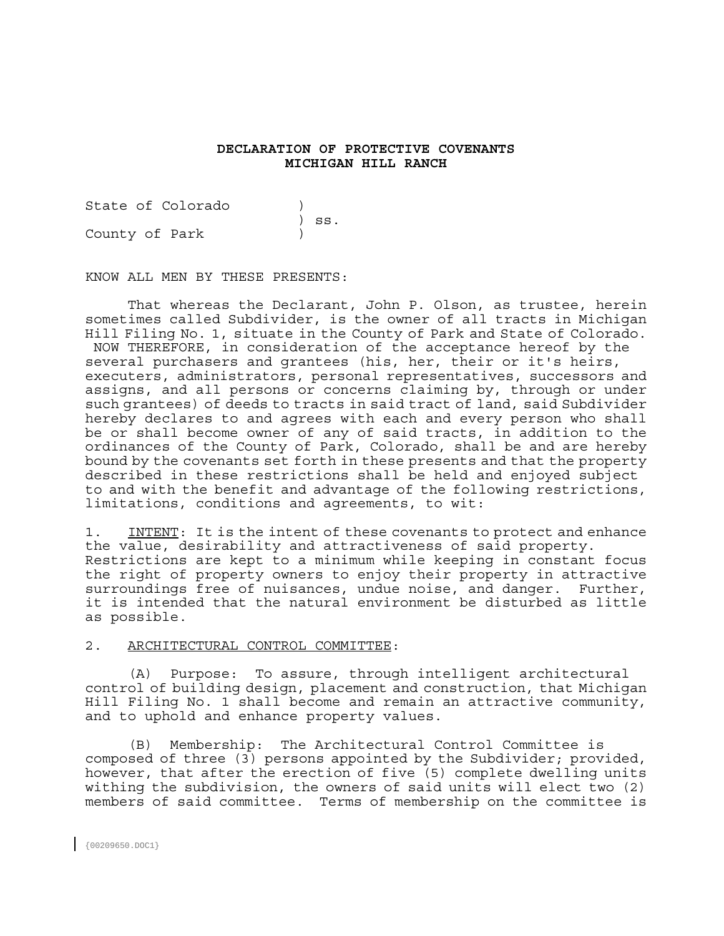# **DECLARATION OF PROTECTIVE COVENANTS MICHIGAN HILL RANCH**

State of Colorado (1996) ) ss. County of Park )

KNOW ALL MEN BY THESE PRESENTS:

 That whereas the Declarant, John P. Olson, as trustee, herein sometimes called Subdivider, is the owner of all tracts in Michigan Hill Filing No. 1, situate in the County of Park and State of Colorado. NOW THEREFORE, in consideration of the acceptance hereof by the several purchasers and grantees (his, her, their or it's heirs, executers, administrators, personal representatives, successors and assigns, and all persons or concerns claiming by, through or under such grantees) of deeds to tracts in said tract of land, said Subdivider hereby declares to and agrees with each and every person who shall be or shall become owner of any of said tracts, in addition to the ordinances of the County of Park, Colorado, shall be and are hereby bound by the covenants set forth in these presents and that the property described in these restrictions shall be held and enjoyed subject to and with the benefit and advantage of the following restrictions, limitations, conditions and agreements, to wit:

1. INTENT: It is the intent of these covenants to protect and enhance the value, desirability and attractiveness of said property. Restrictions are kept to a minimum while keeping in constant focus the right of property owners to enjoy their property in attractive surroundings free of nuisances, undue noise, and danger. Further, it is intended that the natural environment be disturbed as little as possible.

## 2. ARCHITECTURAL CONTROL COMMITTEE:

 (A) Purpose: To assure, through intelligent architectural control of building design, placement and construction, that Michigan Hill Filing No. 1 shall become and remain an attractive community, and to uphold and enhance property values.

 (B) Membership: The Architectural Control Committee is composed of three (3) persons appointed by the Subdivider; provided, however, that after the erection of five (5) complete dwelling units withing the subdivision, the owners of said units will elect two (2) members of said committee. Terms of membership on the committee is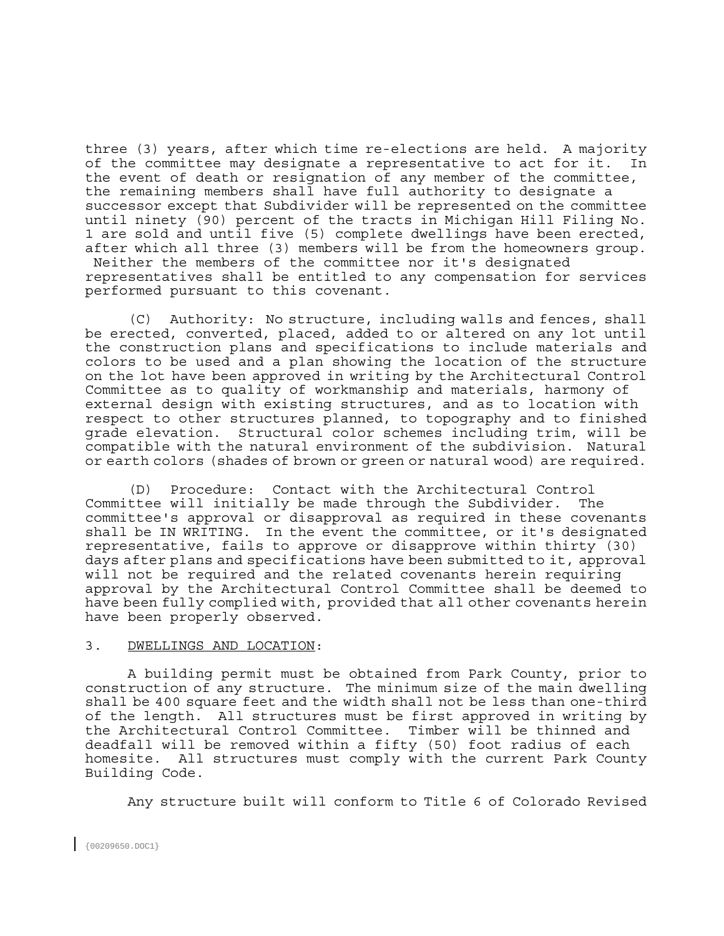three (3) years, after which time re-elections are held. A majority of the committee may designate a representative to act for it. In the event of death or resignation of any member of the committee, the remaining members shall have full authority to designate a successor except that Subdivider will be represented on the committee until ninety (90) percent of the tracts in Michigan Hill Filing No. 1 are sold and until five (5) complete dwellings have been erected, after which all three (3) members will be from the homeowners group. Neither the members of the committee nor it's designated representatives shall be entitled to any compensation for services performed pursuant to this covenant.

 (C) Authority: No structure, including walls and fences, shall be erected, converted, placed, added to or altered on any lot until the construction plans and specifications to include materials and colors to be used and a plan showing the location of the structure on the lot have been approved in writing by the Architectural Control Committee as to quality of workmanship and materials, harmony of external design with existing structures, and as to location with respect to other structures planned, to topography and to finished grade elevation. Structural color schemes including trim, will be compatible with the natural environment of the subdivision. Natural or earth colors (shades of brown or green or natural wood) are required.

 (D) Procedure: Contact with the Architectural Control Committee will initially be made through the Subdivider. The committee's approval or disapproval as required in these covenants shall be IN WRITING. In the event the committee, or it's designated representative, fails to approve or disapprove within thirty (30) days after plans and specifications have been submitted to it, approval will not be required and the related covenants herein requiring approval by the Architectural Control Committee shall be deemed to have been fully complied with, provided that all other covenants herein have been properly observed.

## 3. DWELLINGS AND LOCATION:

 A building permit must be obtained from Park County, prior to construction of any structure. The minimum size of the main dwelling shall be 400 square feet and the width shall not be less than one-third of the length. All structures must be first approved in writing by the Architectural Control Committee. Timber will be thinned and deadfall will be removed within a fifty (50) foot radius of each homesite. All structures must comply with the current Park County Building Code.

Any structure built will conform to Title 6 of Colorado Revised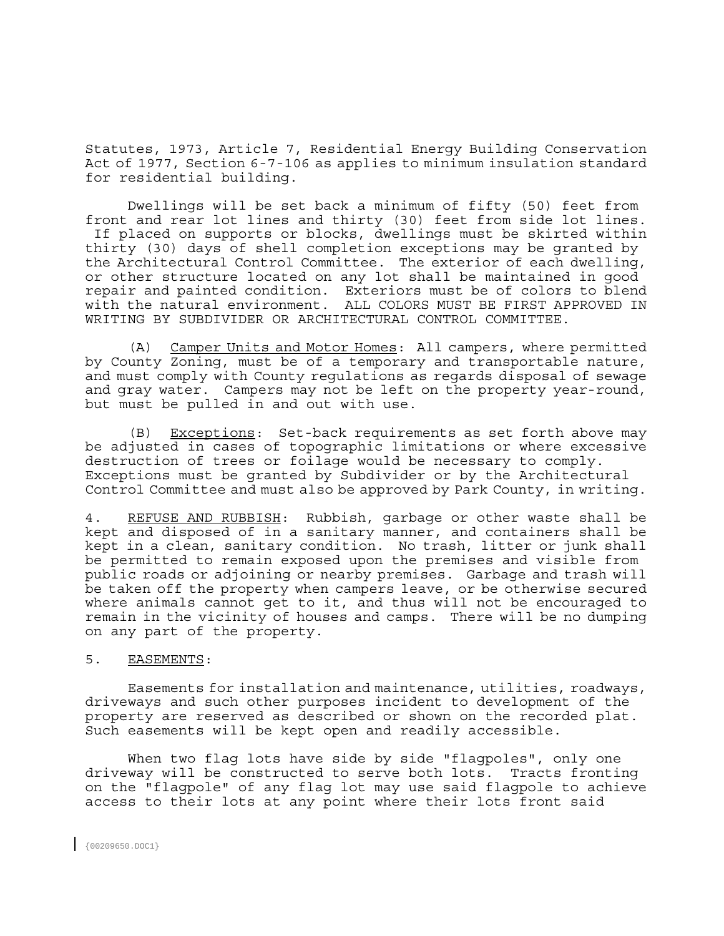Statutes, 1973, Article 7, Residential Energy Building Conservation Act of 1977, Section 6-7-106 as applies to minimum insulation standard for residential building.

 Dwellings will be set back a minimum of fifty (50) feet from front and rear lot lines and thirty (30) feet from side lot lines. If placed on supports or blocks, dwellings must be skirted within thirty (30) days of shell completion exceptions may be granted by the Architectural Control Committee. The exterior of each dwelling, or other structure located on any lot shall be maintained in good repair and painted condition. Exteriors must be of colors to blend with the natural environment. ALL COLORS MUST BE FIRST APPROVED IN WRITING BY SUBDIVIDER OR ARCHITECTURAL CONTROL COMMITTEE.

 (A) Camper Units and Motor Homes: All campers, where permitted by County Zoning, must be of a temporary and transportable nature, and must comply with County regulations as regards disposal of sewage and gray water. Campers may not be left on the property year-round, but must be pulled in and out with use.

 (B) Exceptions: Set-back requirements as set forth above may be adjusted in cases of topographic limitations or where excessive destruction of trees or foilage would be necessary to comply. Exceptions must be granted by Subdivider or by the Architectural Control Committee and must also be approved by Park County, in writing.

4. REFUSE AND RUBBISH: Rubbish, garbage or other waste shall be kept and disposed of in a sanitary manner, and containers shall be kept in a clean, sanitary condition. No trash, litter or junk shall be permitted to remain exposed upon the premises and visible from public roads or adjoining or nearby premises. Garbage and trash will be taken off the property when campers leave, or be otherwise secured where animals cannot get to it, and thus will not be encouraged to remain in the vicinity of houses and camps. There will be no dumping on any part of the property.

# 5. EASEMENTS:

 Easements for installation and maintenance, utilities, roadways, driveways and such other purposes incident to development of the property are reserved as described or shown on the recorded plat. Such easements will be kept open and readily accessible.

 When two flag lots have side by side "flagpoles", only one driveway will be constructed to serve both lots. Tracts fronting on the "flagpole" of any flag lot may use said flagpole to achieve access to their lots at any point where their lots front said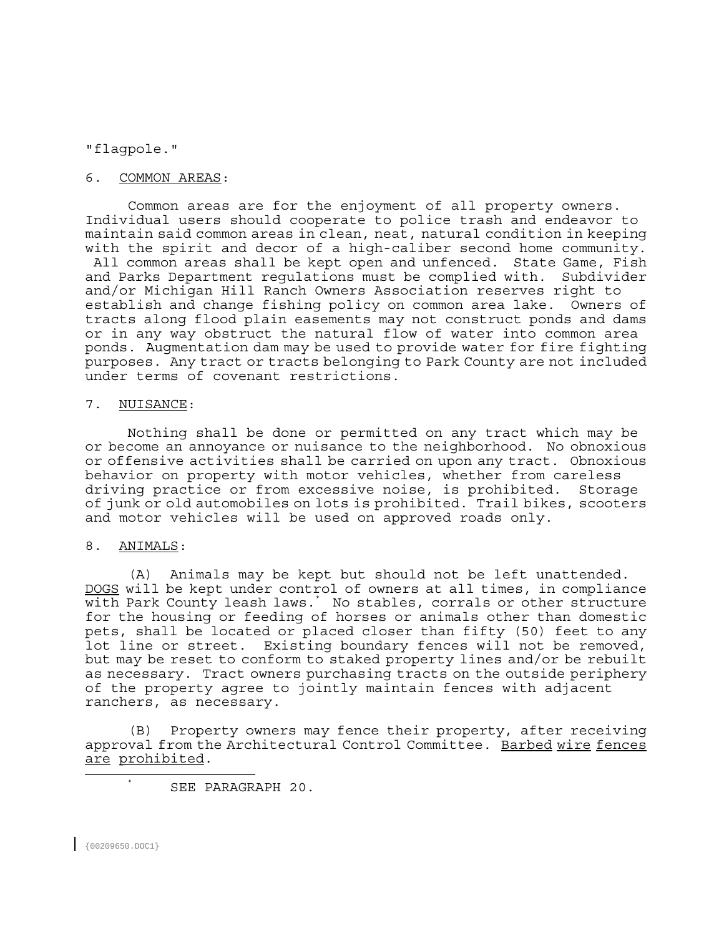# "flagpole."

# 6. COMMON AREAS:

 Common areas are for the enjoyment of all property owners. Individual users should cooperate to police trash and endeavor to maintain said common areas in clean, neat, natural condition in keeping with the spirit and decor of a high-caliber second home community. All common areas shall be kept open and unfenced. State Game, Fish and Parks Department regulations must be complied with. Subdivider and/or Michigan Hill Ranch Owners Association reserves right to establish and change fishing policy on common area lake. Owners of tracts along flood plain easements may not construct ponds and dams or in any way obstruct the natural flow of water into common area ponds. Augmentation dam may be used to provide water for fire fighting purposes. Any tract or tracts belonging to Park County are not included under terms of covenant restrictions.

#### 7. NUISANCE:

 Nothing shall be done or permitted on any tract which may be or become an annoyance or nuisance to the neighborhood. No obnoxious or offensive activities shall be carried on upon any tract. Obnoxious behavior on property with motor vehicles, whether from careless driving practice or from excessive noise, is prohibited. Storage of junk or old automobiles on lots is prohibited. Trail bikes, scooters and motor vehicles will be used on approved roads only.

# 8. ANIMALS:

 (A) Animals may be kept but should not be left unattended. DOGS will be kept under control of owners at all times, in compliance with Park County leash laws.\* No stables, corrals or other structure for the housing or feeding of horses or animals other than domestic pets, shall be located or placed closer than fifty (50) feet to any lot line or street. Existing boundary fences will not be removed, but may be reset to conform to staked property lines and/or be rebuilt as necessary. Tract owners purchasing tracts on the outside periphery of the property agree to jointly maintain fences with adjacent ranchers, as necessary.

 (B) Property owners may fence their property, after receiving approval from the Architectural Control Committee. Barbed wire fences are prohibited.

\* SEE PARAGRAPH 20.

÷,  $\star$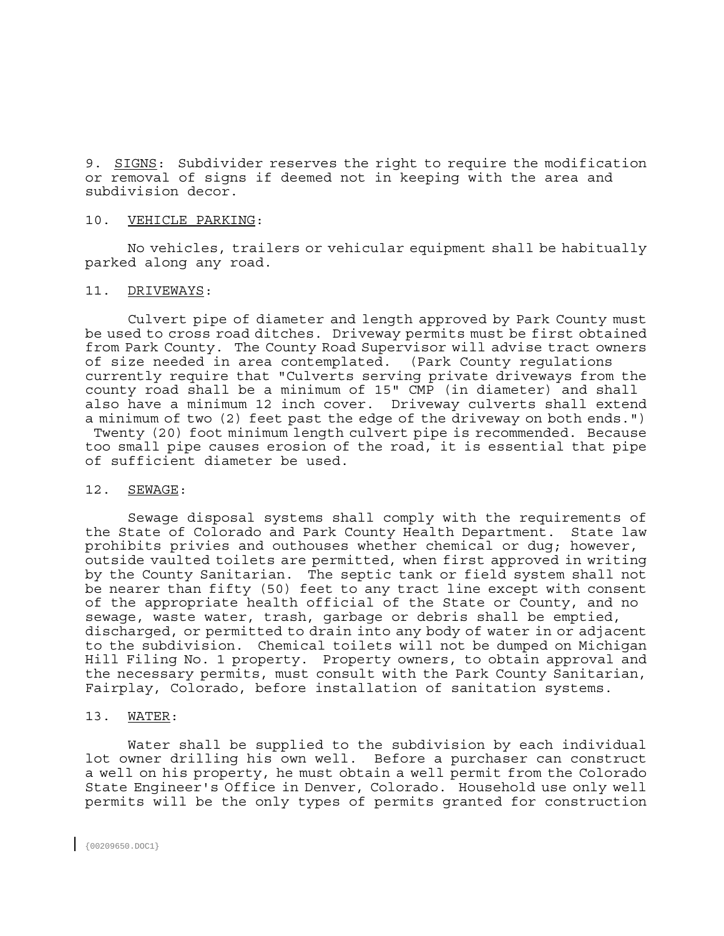9. SIGNS: Subdivider reserves the right to require the modification or removal of signs if deemed not in keeping with the area and subdivision decor.

#### 10. VEHICLE PARKING:

 No vehicles, trailers or vehicular equipment shall be habitually parked along any road.

# 11. DRIVEWAYS:

 Culvert pipe of diameter and length approved by Park County must be used to cross road ditches. Driveway permits must be first obtained from Park County. The County Road Supervisor will advise tract owners of size needed in area contemplated. (Park County regulations currently require that "Culverts serving private driveways from the county road shall be a minimum of 15" CMP (in diameter) and shall also have a minimum 12 inch cover. Driveway culverts shall extend a minimum of two (2) feet past the edge of the driveway on both ends.") Twenty (20) foot minimum length culvert pipe is recommended. Because too small pipe causes erosion of the road, it is essential that pipe of sufficient diameter be used.

#### 12. SEWAGE:

 Sewage disposal systems shall comply with the requirements of the State of Colorado and Park County Health Department. State law prohibits privies and outhouses whether chemical or dug; however, outside vaulted toilets are permitted, when first approved in writing by the County Sanitarian. The septic tank or field system shall not be nearer than fifty (50) feet to any tract line except with consent of the appropriate health official of the State or County, and no sewage, waste water, trash, garbage or debris shall be emptied, discharged, or permitted to drain into any body of water in or adjacent to the subdivision. Chemical toilets will not be dumped on Michigan Hill Filing No. 1 property. Property owners, to obtain approval and the necessary permits, must consult with the Park County Sanitarian, Fairplay, Colorado, before installation of sanitation systems.

#### 13. WATER:

 Water shall be supplied to the subdivision by each individual lot owner drilling his own well. Before a purchaser can construct a well on his property, he must obtain a well permit from the Colorado State Engineer's Office in Denver, Colorado. Household use only well permits will be the only types of permits granted for construction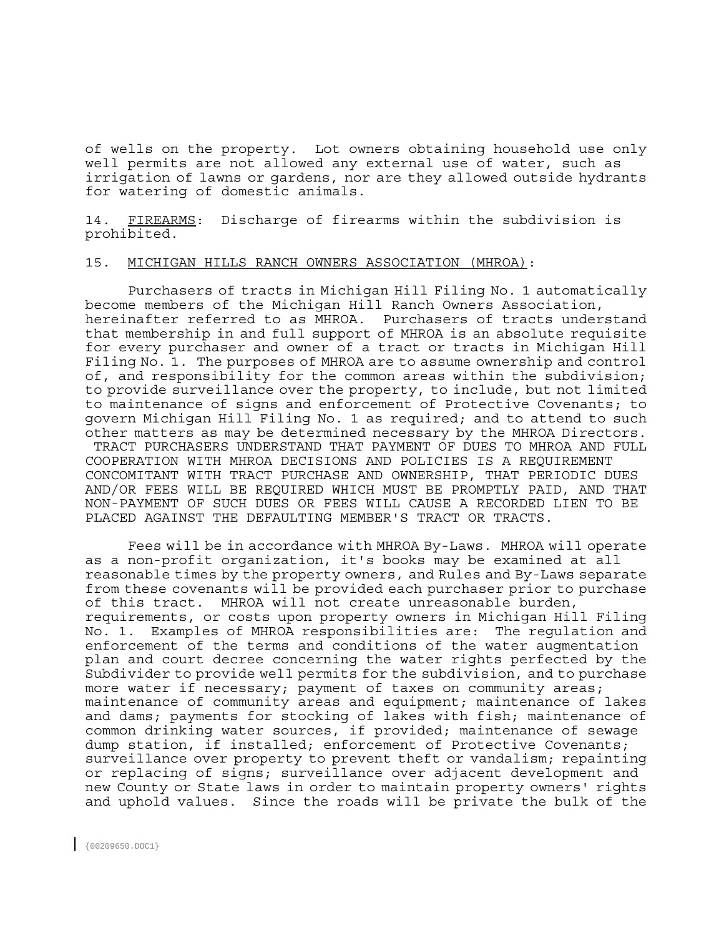of wells on the property. Lot owners obtaining household use only well permits are not allowed any external use of water, such as irrigation of lawns or gardens, nor are they allowed outside hydrants for watering of domestic animals.

14. FIREARMS: Discharge of firearms within the subdivision is prohibited.

## 15. MICHIGAN HILLS RANCH OWNERS ASSOCIATION (MHROA):

 Purchasers of tracts in Michigan Hill Filing No. 1 automatically become members of the Michigan Hill Ranch Owners Association, hereinafter referred to as MHROA. Purchasers of tracts understand that membership in and full support of MHROA is an absolute requisite for every purchaser and owner of a tract or tracts in Michigan Hill Filing No. 1. The purposes of MHROA are to assume ownership and control of, and responsibility for the common areas within the subdivision; to provide surveillance over the property, to include, but not limited to maintenance of signs and enforcement of Protective Covenants; to govern Michigan Hill Filing No. 1 as required; and to attend to such other matters as may be determined necessary by the MHROA Directors. TRACT PURCHASERS UNDERSTAND THAT PAYMENT OF DUES TO MHROA AND FULL COOPERATION WITH MHROA DECISIONS AND POLICIES IS A REQUIREMENT CONCOMITANT WITH TRACT PURCHASE AND OWNERSHIP, THAT PERIODIC DUES AND/OR FEES WILL BE REQUIRED WHICH MUST BE PROMPTLY PAID, AND THAT NON-PAYMENT OF SUCH DUES OR FEES WILL CAUSE A RECORDED LIEN TO BE PLACED AGAINST THE DEFAULTING MEMBER'S TRACT OR TRACTS.

 Fees will be in accordance with MHROA By-Laws. MHROA will operate as a non-profit organization, it's books may be examined at all reasonable times by the property owners, and Rules and By-Laws separate from these covenants will be provided each purchaser prior to purchase of this tract. MHROA will not create unreasonable burden, requirements, or costs upon property owners in Michigan Hill Filing No. 1. Examples of MHROA responsibilities are: The regulation and enforcement of the terms and conditions of the water augmentation plan and court decree concerning the water rights perfected by the Subdivider to provide well permits for the subdivision, and to purchase more water if necessary; payment of taxes on community areas; maintenance of community areas and equipment; maintenance of lakes and dams; payments for stocking of lakes with fish; maintenance of common drinking water sources, if provided; maintenance of sewage dump station, if installed; enforcement of Protective Covenants; surveillance over property to prevent theft or vandalism; repainting or replacing of signs; surveillance over adjacent development and new County or State laws in order to maintain property owners' rights and uphold values. Since the roads will be private the bulk of the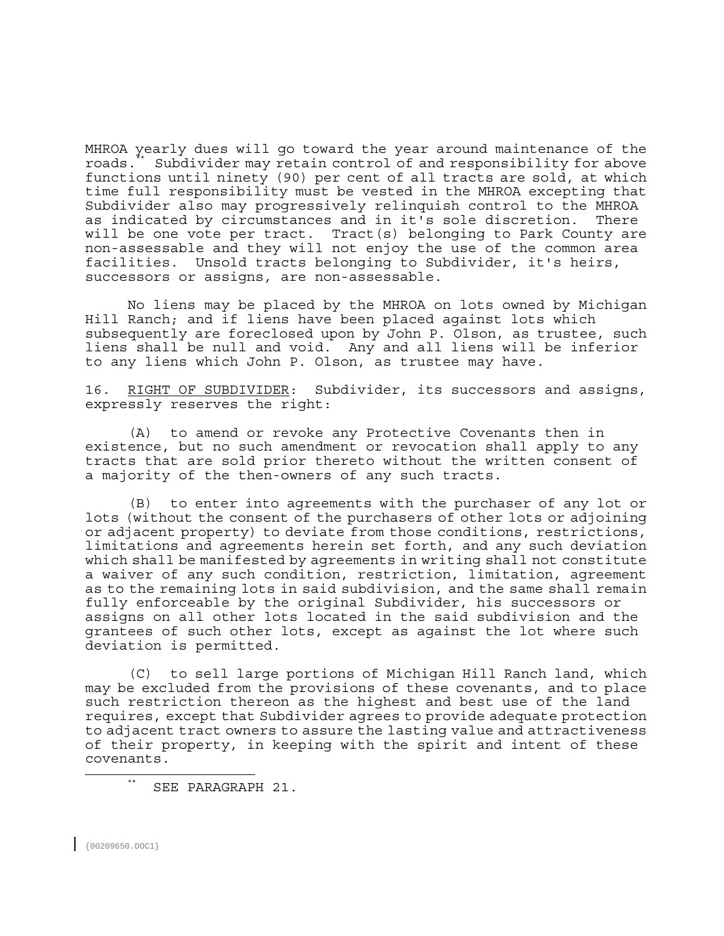MHROA yearly dues will go toward the year around maintenance of the roads.\*\* Subdivider may retain control of and responsibility for above functions until ninety (90) per cent of all tracts are sold, at which time full responsibility must be vested in the MHROA excepting that Subdivider also may progressively relinquish control to the MHROA as indicated by circumstances and in it's sole discretion. There will be one vote per tract. Tract(s) belonging to Park County are non-assessable and they will not enjoy the use of the common area facilities. Unsold tracts belonging to Subdivider, it's heirs, successors or assigns, are non-assessable.

 No liens may be placed by the MHROA on lots owned by Michigan Hill Ranch; and if liens have been placed against lots which subsequently are foreclosed upon by John P. Olson, as trustee, such liens shall be null and void. Any and all liens will be inferior to any liens which John P. Olson, as trustee may have.

16. RIGHT OF SUBDIVIDER: Subdivider, its successors and assigns, expressly reserves the right:

 (A) to amend or revoke any Protective Covenants then in existence, but no such amendment or revocation shall apply to any tracts that are sold prior thereto without the written consent of a majority of the then-owners of any such tracts.

 (B) to enter into agreements with the purchaser of any lot or lots (without the consent of the purchasers of other lots or adjoining or adjacent property) to deviate from those conditions, restrictions, limitations and agreements herein set forth, and any such deviation which shall be manifested by agreements in writing shall not constitute a waiver of any such condition, restriction, limitation, agreement as to the remaining lots in said subdivision, and the same shall remain fully enforceable by the original Subdivider, his successors or assigns on all other lots located in the said subdivision and the grantees of such other lots, except as against the lot where such deviation is permitted.

 (C) to sell large portions of Michigan Hill Ranch land, which may be excluded from the provisions of these covenants, and to place such restriction thereon as the highest and best use of the land requires, except that Subdivider agrees to provide adequate protection to adjacent tract owners to assure the lasting value and attractiveness of their property, in keeping with the spirit and intent of these covenants.

{00209650.DOC1}

÷,

 <sup>\*\*</sup> SEE PARAGRAPH 21.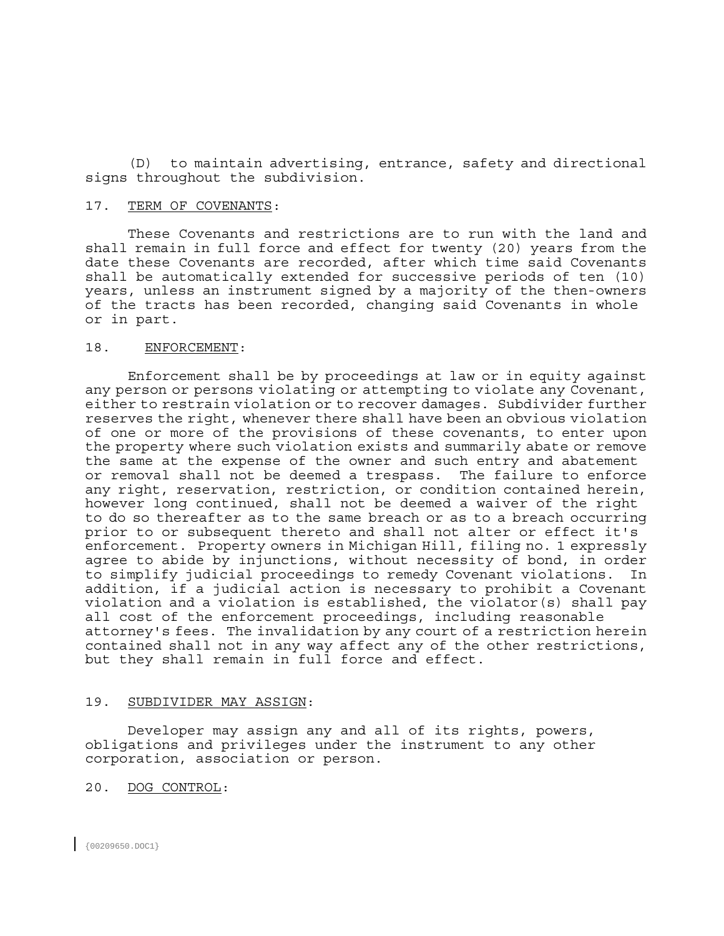(D) to maintain advertising, entrance, safety and directional signs throughout the subdivision.

#### 17. TERM OF COVENANTS:

 These Covenants and restrictions are to run with the land and shall remain in full force and effect for twenty (20) years from the date these Covenants are recorded, after which time said Covenants shall be automatically extended for successive periods of ten (10) years, unless an instrument signed by a majority of the then-owners of the tracts has been recorded, changing said Covenants in whole or in part.

# 18. ENFORCEMENT:

 Enforcement shall be by proceedings at law or in equity against any person or persons violating or attempting to violate any Covenant, either to restrain violation or to recover damages. Subdivider further reserves the right, whenever there shall have been an obvious violation of one or more of the provisions of these covenants, to enter upon the property where such violation exists and summarily abate or remove the same at the expense of the owner and such entry and abatement or removal shall not be deemed a trespass. The failure to enforce any right, reservation, restriction, or condition contained herein, however long continued, shall not be deemed a waiver of the right to do so thereafter as to the same breach or as to a breach occurring prior to or subsequent thereto and shall not alter or effect it's enforcement. Property owners in Michigan Hill, filing no. 1 expressly agree to abide by injunctions, without necessity of bond, in order to simplify judicial proceedings to remedy Covenant violations. In addition, if a judicial action is necessary to prohibit a Covenant violation and a violation is established, the violator(s) shall pay all cost of the enforcement proceedings, including reasonable attorney's fees. The invalidation by any court of a restriction herein contained shall not in any way affect any of the other restrictions, but they shall remain in full force and effect.

# 19. SUBDIVIDER MAY ASSIGN:

 Developer may assign any and all of its rights, powers, obligations and privileges under the instrument to any other corporation, association or person.

## 20. DOG CONTROL: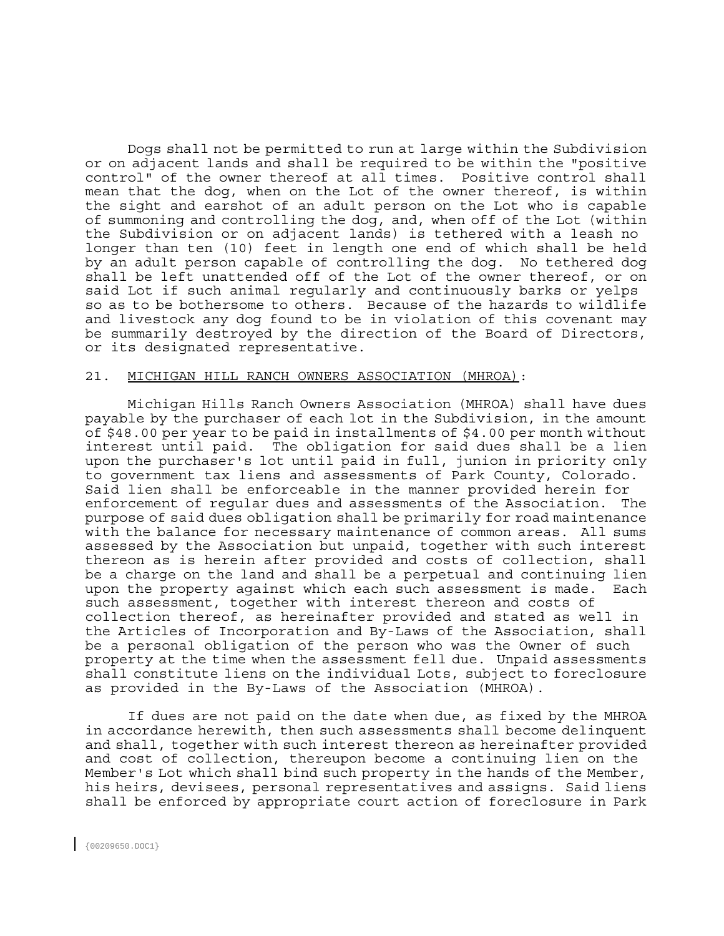Dogs shall not be permitted to run at large within the Subdivision or on adjacent lands and shall be required to be within the "positive control" of the owner thereof at all times. Positive control shall mean that the dog, when on the Lot of the owner thereof, is within the sight and earshot of an adult person on the Lot who is capable of summoning and controlling the dog, and, when off of the Lot (within the Subdivision or on adjacent lands) is tethered with a leash no longer than ten (10) feet in length one end of which shall be held by an adult person capable of controlling the dog. No tethered dog shall be left unattended off of the Lot of the owner thereof, or on said Lot if such animal regularly and continuously barks or yelps so as to be bothersome to others. Because of the hazards to wildlife and livestock any dog found to be in violation of this covenant may be summarily destroyed by the direction of the Board of Directors, or its designated representative.

## 21. MICHIGAN HILL RANCH OWNERS ASSOCIATION (MHROA):

 Michigan Hills Ranch Owners Association (MHROA) shall have dues payable by the purchaser of each lot in the Subdivision, in the amount of \$48.00 per year to be paid in installments of \$4.00 per month without interest until paid. The obligation for said dues shall be a lien upon the purchaser's lot until paid in full, junion in priority only to government tax liens and assessments of Park County, Colorado. Said lien shall be enforceable in the manner provided herein for enforcement of regular dues and assessments of the Association. The purpose of said dues obligation shall be primarily for road maintenance with the balance for necessary maintenance of common areas. All sums assessed by the Association but unpaid, together with such interest thereon as is herein after provided and costs of collection, shall be a charge on the land and shall be a perpetual and continuing lien upon the property against which each such assessment is made. Each such assessment, together with interest thereon and costs of collection thereof, as hereinafter provided and stated as well in the Articles of Incorporation and By-Laws of the Association, shall be a personal obligation of the person who was the Owner of such property at the time when the assessment fell due. Unpaid assessments shall constitute liens on the individual Lots, subject to foreclosure as provided in the By-Laws of the Association (MHROA).

 If dues are not paid on the date when due, as fixed by the MHROA in accordance herewith, then such assessments shall become delinquent and shall, together with such interest thereon as hereinafter provided and cost of collection, thereupon become a continuing lien on the Member's Lot which shall bind such property in the hands of the Member, his heirs, devisees, personal representatives and assigns. Said liens shall be enforced by appropriate court action of foreclosure in Park